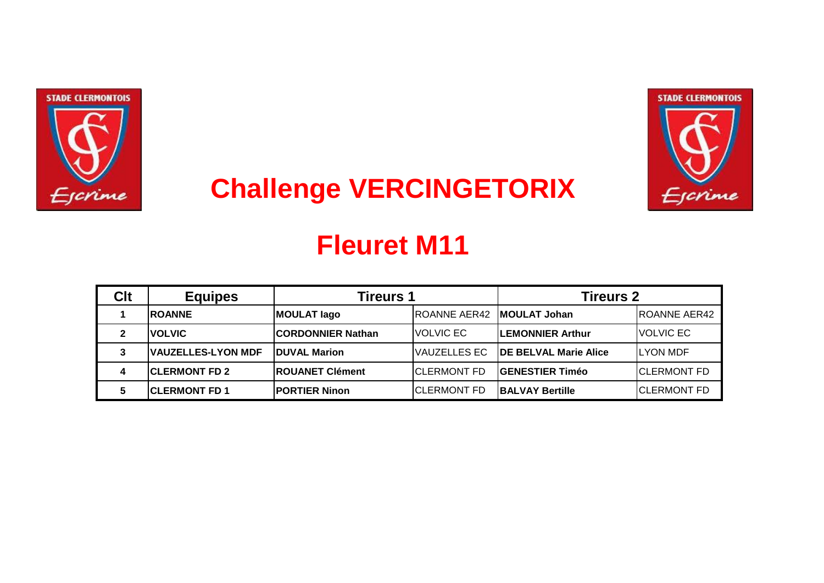

## **Challenge VERCINGETORIX**



## **Fleuret M11**

| Clt | <b>Equipes</b>            | <b>Tireurs 1</b>         |                      | <b>Tireurs 2</b>              |                     |  |
|-----|---------------------------|--------------------------|----------------------|-------------------------------|---------------------|--|
|     | <b>IROANNE</b>            | <b>MOULAT lago</b>       | <b>IROANNE AER42</b> | <b>MOULAT Johan</b>           | IROANNE AER42       |  |
| 2   | <b>VOLVIC</b>             | <b>CORDONNIER Nathan</b> | IVOLVIC EC-          | <b>LEMONNIER Arthur</b>       | <b>VOLVIC EC</b>    |  |
| 3   | <b>VAUZELLES-LYON MDF</b> | <b>IDUVAL Marion</b>     | IVAUZELLES EC        | <b>IDE BELVAL Marie Alice</b> | ILYON MDF           |  |
|     | <b>ICLERMONT FD 2</b>     | <b>IROUANET Clément</b>  | ICLERMONT FD         | <b>IGENESTIER Timéo</b>       | <b>ICLERMONT FD</b> |  |
|     | <b>ICLERMONT FD 1</b>     | <b>IPORTIER Ninon</b>    | ICLERMONT FD         | <b>BALVAY Bertille</b>        | <b>ICLERMONT FD</b> |  |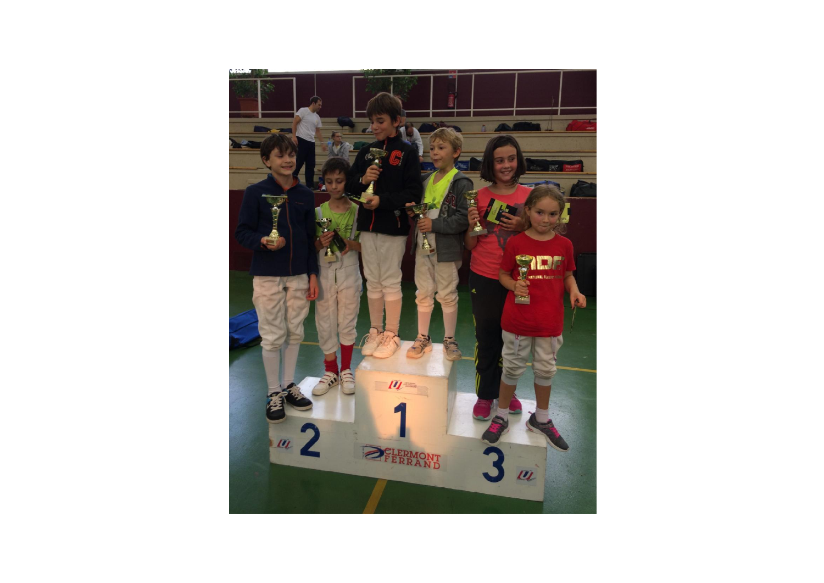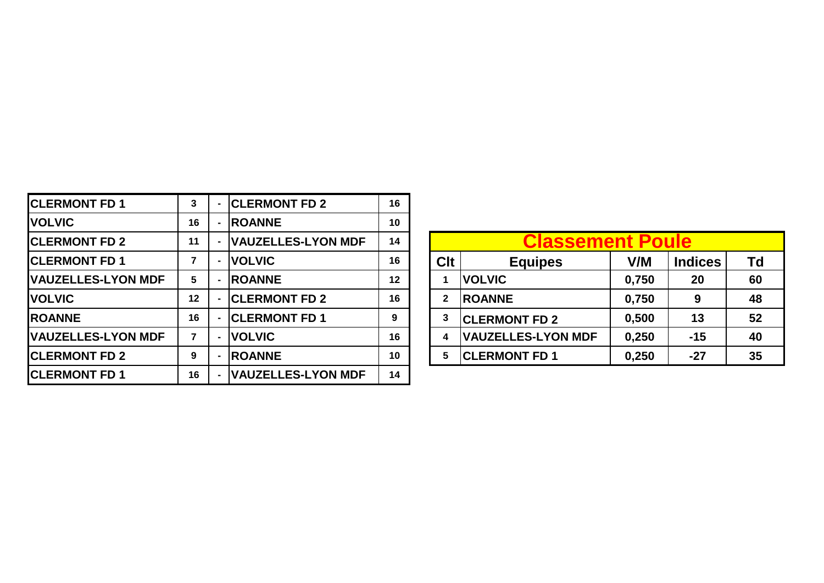| <b>CLERMONT FD 1</b>      | 3  | <b>CLERMONT FD 2</b>      | 16 |                         |                           |       |                |    |
|---------------------------|----|---------------------------|----|-------------------------|---------------------------|-------|----------------|----|
| <b>VOLVIC</b>             | 16 | <b>IROANNE</b>            | 10 |                         |                           |       |                |    |
| <b>ICLERMONT FD 2</b>     | 11 | <b>VAUZELLES-LYON MDF</b> | 14 | <u>Classement Poule</u> |                           |       |                |    |
| <b>ICLERMONT FD 1</b>     |    | <b>VOLVIC</b>             | 16 | <b>Clt</b>              | <b>Equipes</b>            | V/M   | <b>Indices</b> | Td |
| <b>VAUZELLES-LYON MDF</b> | 5  | <b>ROANNE</b>             | 12 |                         | <b>VOLVIC</b>             | 0,750 | 20             | 60 |
| <b>VOLVIC</b>             | 12 | <b>CLERMONT FD 2</b>      | 16 | $\mathbf{2}$            | <b>IROANNE</b>            | 0,750 | 9              | 48 |
| <b>ROANNE</b>             | 16 | <b>CLERMONT FD 1</b>      | 9  | 3                       | <b>CLERMONT FD 2</b>      | 0,500 | 13             | 52 |
| <b>VAUZELLES-LYON MDF</b> | 7  | <b>VOLVIC</b>             | 16 | 4                       | <b>VAUZELLES-LYON MDF</b> | 0,250 | $-15$          | 40 |
| <b>ICLERMONT FD 2</b>     | 9  | <b>ROANNE</b>             | 10 | 5                       | <b>ICLERMONT FD 1</b>     | 0,250 | $-27$          | 35 |
| <b>ICLERMONT FD 1</b>     | 16 | <b>VAUZELLES-LYON MDF</b> | 14 |                         |                           |       |                |    |

|              | <u>Classement Poule</u>   |       |                |    |  |  |  |  |  |  |
|--------------|---------------------------|-------|----------------|----|--|--|--|--|--|--|
| <b>Clt</b>   | <b>Equipes</b>            | V/M   | <b>Indices</b> | Td |  |  |  |  |  |  |
|              | <b>VOLVIC</b>             | 0,750 | 20             | 60 |  |  |  |  |  |  |
| $\mathbf{2}$ | <b>ROANNE</b>             | 0,750 | 9              | 48 |  |  |  |  |  |  |
| 3            | <b>CLERMONT FD 2</b>      | 0,500 | 13             | 52 |  |  |  |  |  |  |
| 4            | <b>VAUZELLES-LYON MDF</b> | 0,250 | $-15$          | 40 |  |  |  |  |  |  |
| 5            | <b>CLERMONT FD 1</b>      | 0,250 | $-27$          | 35 |  |  |  |  |  |  |